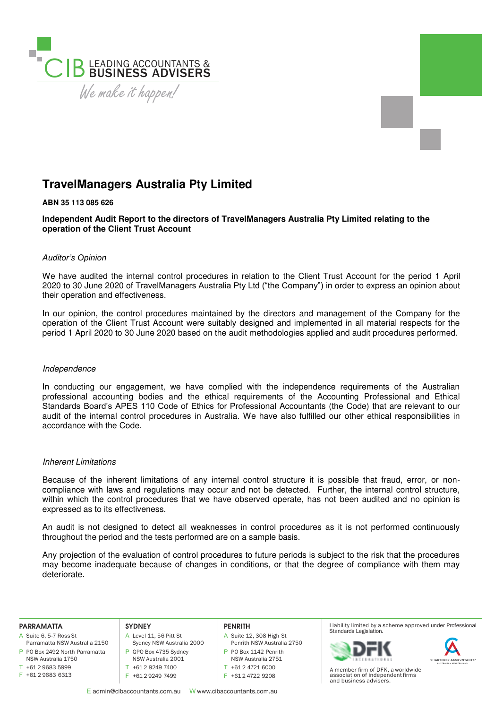

# **TravelManagers Australia Pty Limited**

# **ABN 35 113 085 626**

**Independent Audit Report to the directors of TravelManagers Australia Pty Limited relating to the operation of the Client Trust Account** 

## *Auditor's Opinion*

We have audited the internal control procedures in relation to the Client Trust Account for the period 1 April 2020 to 30 June 2020 of TravelManagers Australia Pty Ltd ("the Company") in order to express an opinion about their operation and effectiveness.

In our opinion, the control procedures maintained by the directors and management of the Company for the operation of the Client Trust Account were suitably designed and implemented in all material respects for the period 1 April 2020 to 30 June 2020 based on the audit methodologies applied and audit procedures performed.

## Independence

In conducting our engagement, we have complied with the independence requirements of the Australian professional accounting bodies and the ethical requirements of the Accounting Professional and Ethical Standards Board's APES 110 Code of Ethics for Professional Accountants (the Code) that are relevant to our audit of the internal control procedures in Australia. We have also fulfilled our other ethical responsibilities in accordance with the Code.

## Inherent Limitations

Because of the inherent limitations of any internal control structure it is possible that fraud, error, or noncompliance with laws and regulations may occur and not be detected. Further, the internal control structure, within which the control procedures that we have observed operate, has not been audited and no opinion is expressed as to its effectiveness.

An audit is not designed to detect all weaknesses in control procedures as it is not performed continuously throughout the period and the tests performed are on a sample basis.

Any projection of the evaluation of control procedures to future periods is subject to the risk that the procedures may become inadequate because of changes in conditions, or that the degree of compliance with them may deteriorate.

#### **PARRAMATTA**

- A Suite 6, 5-7 Ross St
- P PO Box 2492 North Parramatta Parramatta NSW Australia 2150 NSW Australia 1750
- T +61 2 9683 5999
- F +61 2 9683 6313

### **SYDNEY**

- A Level 11, 56 Pitt St Sydney NSW Australia 2000 P GPO Box 4735 Sydney NSW Australia 2001 T +61 2 9249 7400
- F +61 2 9249 7499

## **PENRITH**

- A Suite 12, 308 High St Penrith NSW Australia 2750 P PO Box 1142 Penrith NSW Australia 2751
- T +61 2 4721 6000
- F +61 2 4722 9208
- 

E admin@cibaccountants.com.au W www.cibaccountants.com.au

Liability limited by a scheme approved under Professional Standards Legislation.





A member firm of DFK, a worldwide association of independent firms and business advisers.